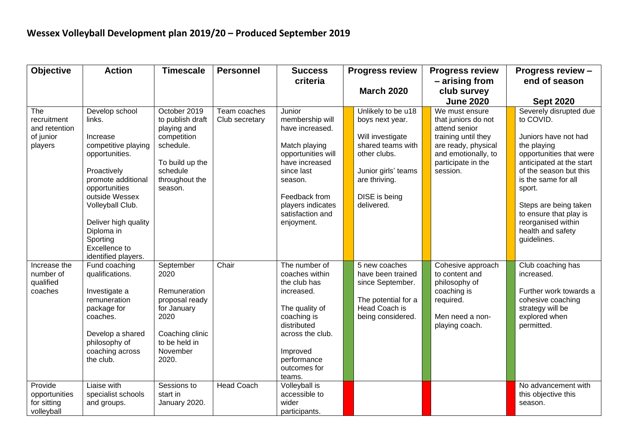| <b>Objective</b>                                            | <b>Action</b>                                                                                                                                                                                                                                                       | <b>Timescale</b>                                                                                                                        | <b>Personnel</b>               | <b>Success</b>                                                                                                                                                                                         | <b>Progress review</b>                                                                                                                                                | <b>Progress review</b>                                                                                                                                        | <b>Progress review -</b>                                                                                                                                                                                                                                                                                  |
|-------------------------------------------------------------|---------------------------------------------------------------------------------------------------------------------------------------------------------------------------------------------------------------------------------------------------------------------|-----------------------------------------------------------------------------------------------------------------------------------------|--------------------------------|--------------------------------------------------------------------------------------------------------------------------------------------------------------------------------------------------------|-----------------------------------------------------------------------------------------------------------------------------------------------------------------------|---------------------------------------------------------------------------------------------------------------------------------------------------------------|-----------------------------------------------------------------------------------------------------------------------------------------------------------------------------------------------------------------------------------------------------------------------------------------------------------|
|                                                             |                                                                                                                                                                                                                                                                     |                                                                                                                                         |                                | criteria                                                                                                                                                                                               |                                                                                                                                                                       | - arising from                                                                                                                                                | end of season                                                                                                                                                                                                                                                                                             |
|                                                             |                                                                                                                                                                                                                                                                     |                                                                                                                                         |                                |                                                                                                                                                                                                        | <b>March 2020</b>                                                                                                                                                     | club survey                                                                                                                                                   |                                                                                                                                                                                                                                                                                                           |
|                                                             |                                                                                                                                                                                                                                                                     |                                                                                                                                         |                                |                                                                                                                                                                                                        |                                                                                                                                                                       | <b>June 2020</b>                                                                                                                                              | <b>Sept 2020</b>                                                                                                                                                                                                                                                                                          |
| The<br>recruitment<br>and retention<br>of junior<br>players | Develop school<br>links.<br>Increase<br>competitive playing<br>opportunities.<br>Proactively<br>promote additional<br>opportunities<br>outside Wessex<br>Volleyball Club.<br>Deliver high quality<br>Diploma in<br>Sporting<br>Excellence to<br>identified players. | October 2019<br>to publish draft<br>playing and<br>competition<br>schedule.<br>To build up the<br>schedule<br>throughout the<br>season. | Team coaches<br>Club secretary | Junior<br>membership will<br>have increased.<br>Match playing<br>opportunities will<br>have increased<br>since last<br>season.<br>Feedback from<br>players indicates<br>satisfaction and<br>enjoyment. | Unlikely to be u18<br>boys next year.<br>Will investigate<br>shared teams with<br>other clubs.<br>Junior girls' teams<br>are thriving.<br>DISE is being<br>delivered. | We must ensure<br>that juniors do not<br>attend senior<br>training until they<br>are ready, physical<br>and emotionally, to<br>participate in the<br>session. | Severely disrupted due<br>to COVID.<br>Juniors have not had<br>the playing<br>opportunities that were<br>anticipated at the start<br>of the season but this<br>is the same for all<br>sport.<br>Steps are being taken<br>to ensure that play is<br>reorganised within<br>health and safety<br>guidelines. |
| Increase the<br>number of<br>qualified<br>coaches           | Fund coaching<br>qualifications.<br>Investigate a<br>remuneration<br>package for<br>coaches.<br>Develop a shared<br>philosophy of<br>coaching across<br>the club.                                                                                                   | September<br>2020<br>Remuneration<br>proposal ready<br>for January<br>2020<br>Coaching clinic<br>to be held in<br>November<br>2020.     | Chair                          | The number of<br>coaches within<br>the club has<br>increased.<br>The quality of<br>coaching is<br>distributed<br>across the club.<br>Improved<br>performance<br>outcomes for<br>teams.                 | 5 new coaches<br>have been trained<br>since September.<br>The potential for a<br>Head Coach is<br>being considered.                                                   | Cohesive approach<br>to content and<br>philosophy of<br>coaching is<br>required.<br>Men need a non-<br>playing coach.                                         | Club coaching has<br>increased.<br>Further work towards a<br>cohesive coaching<br>strategy will be<br>explored when<br>permitted.                                                                                                                                                                         |
| Provide<br>opportunities<br>for sitting<br>volleyball       | Liaise with<br>specialist schools<br>and groups.                                                                                                                                                                                                                    | Sessions to<br>start in<br>January 2020.                                                                                                | <b>Head Coach</b>              | Volleyball is<br>accessible to<br>wider<br>participants.                                                                                                                                               |                                                                                                                                                                       |                                                                                                                                                               | No advancement with<br>this objective this<br>season.                                                                                                                                                                                                                                                     |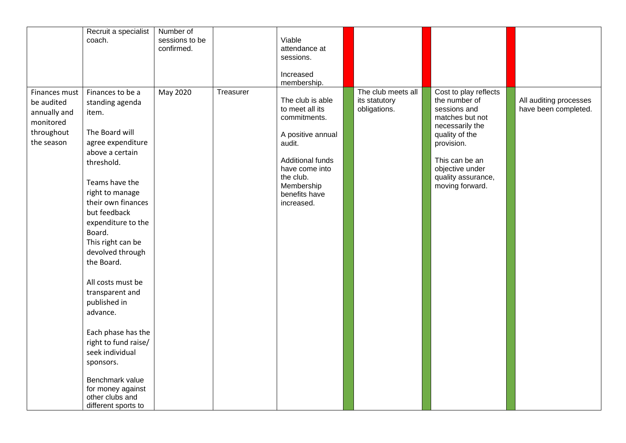|               | Recruit a specialist | Number of      |           |                         |                    |                       |                        |
|---------------|----------------------|----------------|-----------|-------------------------|--------------------|-----------------------|------------------------|
|               | coach.               | sessions to be |           | Viable                  |                    |                       |                        |
|               |                      | confirmed.     |           | attendance at           |                    |                       |                        |
|               |                      |                |           | sessions.               |                    |                       |                        |
|               |                      |                |           |                         |                    |                       |                        |
|               |                      |                |           | Increased               |                    |                       |                        |
|               |                      |                |           | membership.             |                    |                       |                        |
| Finances must | Finances to be a     | May 2020       | Treasurer |                         | The club meets all | Cost to play reflects |                        |
| be audited    |                      |                |           | The club is able        | its statutory      | the number of         | All auditing processes |
|               | standing agenda      |                |           | to meet all its         | obligations.       | sessions and          | have been completed.   |
| annually and  | item.                |                |           | commitments.            |                    | matches but not       |                        |
| monitored     |                      |                |           |                         |                    | necessarily the       |                        |
| throughout    | The Board will       |                |           | A positive annual       |                    | quality of the        |                        |
| the season    | agree expenditure    |                |           | audit.                  |                    | provision.            |                        |
|               | above a certain      |                |           |                         |                    |                       |                        |
|               | threshold.           |                |           | <b>Additional funds</b> |                    | This can be an        |                        |
|               |                      |                |           | have come into          |                    | objective under       |                        |
|               |                      |                |           | the club.               |                    | quality assurance,    |                        |
|               | Teams have the       |                |           | Membership              |                    | moving forward.       |                        |
|               | right to manage      |                |           | benefits have           |                    |                       |                        |
|               | their own finances   |                |           | increased.              |                    |                       |                        |
|               | but feedback         |                |           |                         |                    |                       |                        |
|               | expenditure to the   |                |           |                         |                    |                       |                        |
|               | Board.               |                |           |                         |                    |                       |                        |
|               |                      |                |           |                         |                    |                       |                        |
|               | This right can be    |                |           |                         |                    |                       |                        |
|               | devolved through     |                |           |                         |                    |                       |                        |
|               | the Board.           |                |           |                         |                    |                       |                        |
|               |                      |                |           |                         |                    |                       |                        |
|               | All costs must be    |                |           |                         |                    |                       |                        |
|               | transparent and      |                |           |                         |                    |                       |                        |
|               |                      |                |           |                         |                    |                       |                        |
|               | published in         |                |           |                         |                    |                       |                        |
|               | advance.             |                |           |                         |                    |                       |                        |
|               |                      |                |           |                         |                    |                       |                        |
|               | Each phase has the   |                |           |                         |                    |                       |                        |
|               | right to fund raise/ |                |           |                         |                    |                       |                        |
|               | seek individual      |                |           |                         |                    |                       |                        |
|               |                      |                |           |                         |                    |                       |                        |
|               | sponsors.            |                |           |                         |                    |                       |                        |
|               | Benchmark value      |                |           |                         |                    |                       |                        |
|               | for money against    |                |           |                         |                    |                       |                        |
|               | other clubs and      |                |           |                         |                    |                       |                        |
|               |                      |                |           |                         |                    |                       |                        |
|               | different sports to  |                |           |                         |                    |                       |                        |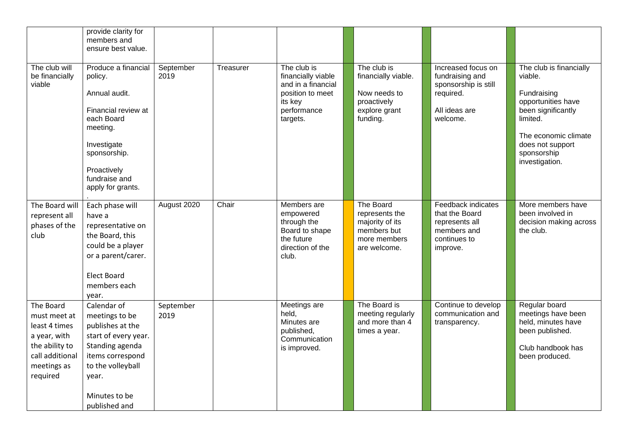|                                                                                                                            | provide clarity for<br>members and<br>ensure best value.                                                                                                                             |                   |           |                                                                                                                   |                                                                                                |                                                                                                         |                                                                                                                                                                                        |
|----------------------------------------------------------------------------------------------------------------------------|--------------------------------------------------------------------------------------------------------------------------------------------------------------------------------------|-------------------|-----------|-------------------------------------------------------------------------------------------------------------------|------------------------------------------------------------------------------------------------|---------------------------------------------------------------------------------------------------------|----------------------------------------------------------------------------------------------------------------------------------------------------------------------------------------|
| The club will<br>be financially<br>viable                                                                                  | Produce a financial<br>policy.<br>Annual audit.<br>Financial review at<br>each Board<br>meeting.<br>Investigate<br>sponsorship.<br>Proactively<br>fundraise and<br>apply for grants. | September<br>2019 | Treasurer | The club is<br>financially viable<br>and in a financial<br>position to meet<br>its key<br>performance<br>targets. | The club is<br>financially viable.<br>Now needs to<br>proactively<br>explore grant<br>funding. | Increased focus on<br>fundraising and<br>sponsorship is still<br>required.<br>All ideas are<br>welcome. | The club is financially<br>viable.<br>Fundraising<br>opportunities have<br>been significantly<br>limited.<br>The economic climate<br>does not support<br>sponsorship<br>investigation. |
| The Board will<br>represent all<br>phases of the<br>club                                                                   | Each phase will<br>have a<br>representative on<br>the Board, this<br>could be a player<br>or a parent/carer.<br><b>Elect Board</b><br>members each<br>year.                          | August 2020       | Chair     | Members are<br>empowered<br>through the<br>Board to shape<br>the future<br>direction of the<br>club.              | The Board<br>represents the<br>majority of its<br>members but<br>more members<br>are welcome.  | Feedback indicates<br>that the Board<br>represents all<br>members and<br>continues to<br>improve.       | More members have<br>been involved in<br>decision making across<br>the club.                                                                                                           |
| The Board<br>must meet at<br>least 4 times<br>a year, with<br>the ability to<br>call additional<br>meetings as<br>required | Calendar of<br>meetings to be<br>publishes at the<br>start of every year.<br>Standing agenda<br>items correspond<br>to the volleyball<br>year.<br>Minutes to be<br>published and     | September<br>2019 |           | Meetings are<br>held,<br>Minutes are<br>published,<br>Communication<br>is improved.                               | The Board is<br>meeting regularly<br>and more than 4<br>times a year.                          | Continue to develop<br>communication and<br>transparency.                                               | Regular board<br>meetings have been<br>held, minutes have<br>been published.<br>Club handbook has<br>been produced.                                                                    |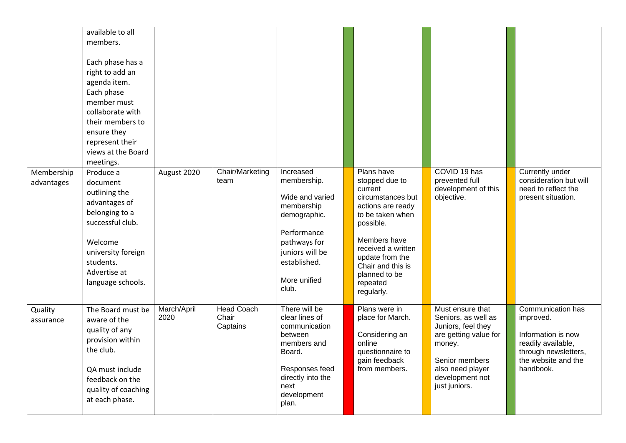|                          | available to all<br>members.<br>Each phase has a<br>right to add an<br>agenda item.<br>Each phase<br>member must<br>collaborate with<br>their members to<br>ensure they<br>represent their<br>views at the Board<br>meetings. |                     |                                        |                                                                                                                                                                      |                                                                                                                                                                                                                                             |                                                                                                                                                                            |                                                                                                                                        |
|--------------------------|-------------------------------------------------------------------------------------------------------------------------------------------------------------------------------------------------------------------------------|---------------------|----------------------------------------|----------------------------------------------------------------------------------------------------------------------------------------------------------------------|---------------------------------------------------------------------------------------------------------------------------------------------------------------------------------------------------------------------------------------------|----------------------------------------------------------------------------------------------------------------------------------------------------------------------------|----------------------------------------------------------------------------------------------------------------------------------------|
| Membership<br>advantages | Produce a<br>document<br>outlining the<br>advantages of<br>belonging to a<br>successful club.<br>Welcome<br>university foreign<br>students.<br>Advertise at<br>language schools.                                              | August 2020         | Chair/Marketing<br>team                | Increased<br>membership.<br>Wide and varied<br>membership<br>demographic.<br>Performance<br>pathways for<br>juniors will be<br>established.<br>More unified<br>club. | Plans have<br>stopped due to<br>current<br>circumstances but<br>actions are ready<br>to be taken when<br>possible.<br>Members have<br>received a written<br>update from the<br>Chair and this is<br>planned to be<br>repeated<br>regularly. | COVID 19 has<br>prevented full<br>development of this<br>objective.                                                                                                        | Currently under<br>consideration but will<br>need to reflect the<br>present situation.                                                 |
| Quality<br>assurance     | The Board must be<br>aware of the<br>quality of any<br>provision within<br>the club.<br>QA must include<br>feedback on the<br>quality of coaching<br>at each phase.                                                           | March/April<br>2020 | <b>Head Coach</b><br>Chair<br>Captains | There will be<br>clear lines of<br>communication<br>between<br>members and<br>Board.<br>Responses feed<br>directly into the<br>next<br>development<br>plan.          | Plans were in<br>place for March.<br>Considering an<br>online<br>questionnaire to<br>gain feedback<br>from members.                                                                                                                         | Must ensure that<br>Seniors, as well as<br>Juniors, feel they<br>are getting value for<br>money.<br>Senior members<br>also need player<br>development not<br>just juniors. | Communication has<br>improved.<br>Information is now<br>readily available,<br>through newsletters,<br>the website and the<br>handbook. |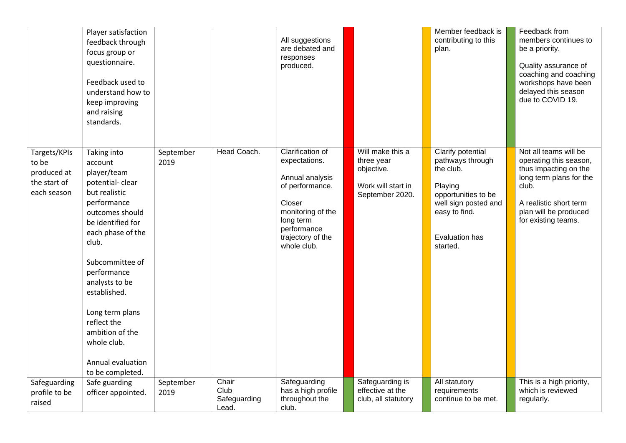|                                                                     | Player satisfaction<br>feedback through<br>focus group or<br>questionnaire.<br>Feedback used to<br>understand how to<br>keep improving<br>and raising<br>standards.                                                                                                                                                                             |                   |                                        | All suggestions<br>are debated and<br>responses<br>produced.                                                                                                           |                                                                                       | Member feedback is<br>contributing to this<br>plan.                                                                                                         | Feedback from<br>members continues to<br>be a priority.<br>Quality assurance of<br>coaching and coaching<br>workshops have been<br>delayed this season<br>due to COVID 19.             |
|---------------------------------------------------------------------|-------------------------------------------------------------------------------------------------------------------------------------------------------------------------------------------------------------------------------------------------------------------------------------------------------------------------------------------------|-------------------|----------------------------------------|------------------------------------------------------------------------------------------------------------------------------------------------------------------------|---------------------------------------------------------------------------------------|-------------------------------------------------------------------------------------------------------------------------------------------------------------|----------------------------------------------------------------------------------------------------------------------------------------------------------------------------------------|
| Targets/KPIs<br>to be<br>produced at<br>the start of<br>each season | Taking into<br>account<br>player/team<br>potential-clear<br>but realistic<br>performance<br>outcomes should<br>be identified for<br>each phase of the<br>club.<br>Subcommittee of<br>performance<br>analysts to be<br>established.<br>Long term plans<br>reflect the<br>ambition of the<br>whole club.<br>Annual evaluation<br>to be completed. | September<br>2019 | Head Coach.                            | Clarification of<br>expectations.<br>Annual analysis<br>of performance.<br>Closer<br>monitoring of the<br>long term<br>performance<br>trajectory of the<br>whole club. | Will make this a<br>three year<br>objective.<br>Work will start in<br>September 2020. | Clarify potential<br>pathways through<br>the club.<br>Playing<br>opportunities to be<br>well sign posted and<br>easy to find.<br>Evaluation has<br>started. | Not all teams will be<br>operating this season,<br>thus impacting on the<br>long term plans for the<br>club.<br>A realistic short term<br>plan will be produced<br>for existing teams. |
| Safeguarding<br>profile to be<br>raised                             | Safe guarding<br>officer appointed.                                                                                                                                                                                                                                                                                                             | September<br>2019 | Chair<br>Club<br>Safeguarding<br>Lead. | Safeguarding<br>has a high profile<br>throughout the<br>club.                                                                                                          | Safeguarding is<br>effective at the<br>club, all statutory                            | All statutory<br>requirements<br>continue to be met.                                                                                                        | This is a high priority,<br>which is reviewed<br>regularly.                                                                                                                            |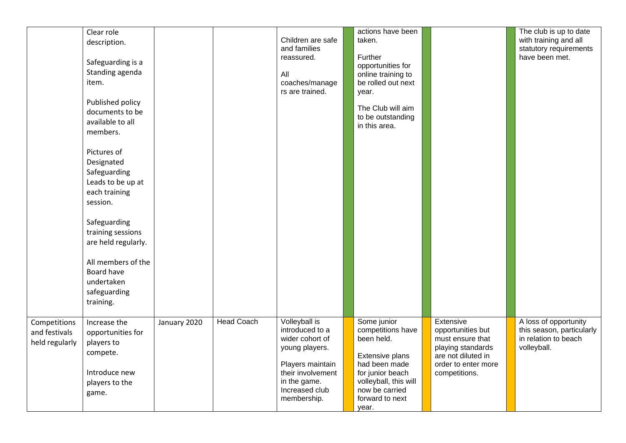|                                                 | Clear role<br>description.<br>Safeguarding is a<br>Standing agenda<br>item.<br>Published policy<br>documents to be<br>available to all<br>members.<br>Pictures of<br>Designated<br>Safeguarding<br>Leads to be up at<br>each training<br>session.<br>Safeguarding<br>training sessions<br>are held regularly.<br>All members of the<br>Board have<br>undertaken<br>safeguarding<br>training. |              |                   | Children are safe<br>and families<br>reassured.<br>All<br>coaches/manage<br>rs are trained.                                                                     | actions have been<br>taken.<br>Further<br>opportunities for<br>online training to<br>be rolled out next<br>year.<br>The Club will aim<br>to be outstanding<br>in this area.   |                                                                                                                                       | The club is up to date<br>with training and all<br>statutory requirements<br>have been met. |
|-------------------------------------------------|----------------------------------------------------------------------------------------------------------------------------------------------------------------------------------------------------------------------------------------------------------------------------------------------------------------------------------------------------------------------------------------------|--------------|-------------------|-----------------------------------------------------------------------------------------------------------------------------------------------------------------|-------------------------------------------------------------------------------------------------------------------------------------------------------------------------------|---------------------------------------------------------------------------------------------------------------------------------------|---------------------------------------------------------------------------------------------|
| Competitions<br>and festivals<br>held regularly | Increase the<br>opportunities for<br>players to<br>compete.<br>Introduce new<br>players to the<br>game.                                                                                                                                                                                                                                                                                      | January 2020 | <b>Head Coach</b> | Volleyball is<br>introduced to a<br>wider cohort of<br>young players.<br>Players maintain<br>their involvement<br>in the game.<br>Increased club<br>membership. | Some junior<br>competitions have<br>been held.<br>Extensive plans<br>had been made<br>for junior beach<br>volleyball, this will<br>now be carried<br>forward to next<br>year. | Extensive<br>opportunities but<br>must ensure that<br>playing standards<br>are not diluted in<br>order to enter more<br>competitions. | A loss of opportunity<br>this season, particularly<br>in relation to beach<br>volleyball.   |